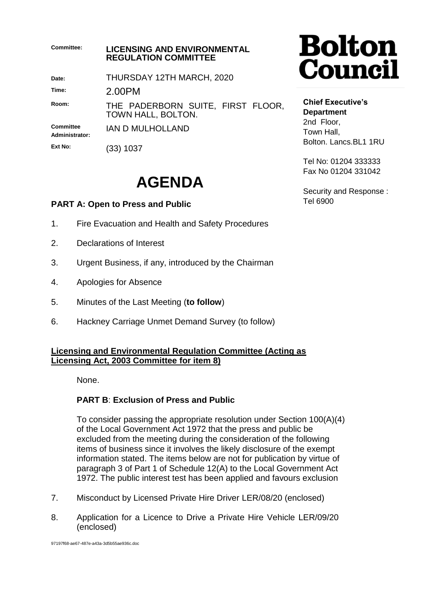| Committee:                  | <b>LICENSING AND ENVIRONMENTAL</b><br><b>REGULATION COMMITTEE</b> |  |
|-----------------------------|-------------------------------------------------------------------|--|
| Date:                       | THURSDAY 12TH MARCH, 2020                                         |  |
| Time:                       | 2.00PM                                                            |  |
| Room:                       | THE PADERBORN SUITE, FIRST FLOOR,<br>TOWN HALL, BOLTON.           |  |
| Committee<br>Administrator: | IAN D MULHOLLAND                                                  |  |
| Ext No:                     | 1037                                                              |  |

# **AGENDA**

## **PART A: Open to Press and Public**

- 1. Fire Evacuation and Health and Safety Procedures
- 2. Declarations of Interest
- 3. Urgent Business, if any, introduced by the Chairman
- 4. Apologies for Absence
- 5. Minutes of the Last Meeting (**to follow**)
- 6. Hackney Carriage Unmet Demand Survey (to follow)

#### **Licensing and Environmental Regulation Committee (Acting as Licensing Act, 2003 Committee for item 8)**

None.

### **PART B**: **Exclusion of Press and Public**

To consider passing the appropriate resolution under Section 100(A)(4) of the Local Government Act 1972 that the press and public be excluded from the meeting during the consideration of the following items of business since it involves the likely disclosure of the exempt information stated. The items below are not for publication by virtue of paragraph 3 of Part 1 of Schedule 12(A) to the Local Government Act 1972. The public interest test has been applied and favours exclusion

- 7. Misconduct by Licensed Private Hire Driver LER/08/20 (enclosed)
- 8. Application for a Licence to Drive a Private Hire Vehicle LER/09/20 (enclosed)

97197f68-ae67-487e-a43a-3d5b55ae936c.doc

# **Bolton<br>Council**

**Chief Executive's Department** 2nd Floor, Town Hall, Bolton. Lancs.BL1 1RU

Tel No: 01204 333333 Fax No 01204 331042

Security and Response : Tel 6900